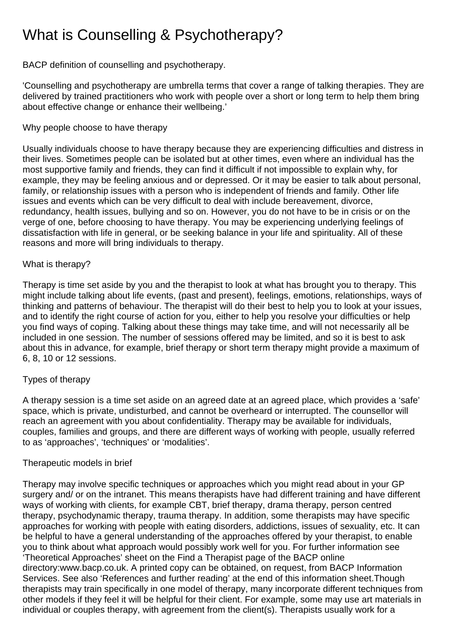# What is Counselling & Psychotherapy?

BACP definition of counselling and psychotherapy.

'Counselling and psychotherapy are umbrella terms that cover a range of talking therapies. They are delivered by trained practitioners who work with people over a short or long term to help them bring about effective change or enhance their wellbeing.'

## Why people choose to have therapy

Usually individuals choose to have therapy because they are experiencing difficulties and distress in their lives. Sometimes people can be isolated but at other times, even where an individual has the most supportive family and friends, they can find it difficult if not impossible to explain why, for example, they may be feeling anxious and or depressed. Or it may be easier to talk about personal, family, or relationship issues with a person who is independent of friends and family. Other life issues and events which can be very difficult to deal with include bereavement, divorce, redundancy, health issues, bullying and so on. However, you do not have to be in crisis or on the verge of one, before choosing to have therapy. You may be experiencing underlying feelings of dissatisfaction with life in general, or be seeking balance in your life and spirituality. All of these reasons and more will bring individuals to therapy.

## What is therapy?

Therapy is time set aside by you and the therapist to look at what has brought you to therapy. This might include talking about life events, (past and present), feelings, emotions, relationships, ways of thinking and patterns of behaviour. The therapist will do their best to help you to look at your issues, and to identify the right course of action for you, either to help you resolve your difficulties or help you find ways of coping. Talking about these things may take time, and will not necessarily all be included in one session. The number of sessions offered may be limited, and so it is best to ask about this in advance, for example, brief therapy or short term therapy might provide a maximum of 6, 8, 10 or 12 sessions.

## Types of therapy

A therapy session is a time set aside on an agreed date at an agreed place, which provides a 'safe' space, which is private, undisturbed, and cannot be overheard or interrupted. The counsellor will reach an agreement with you about confidentiality. Therapy may be available for individuals, couples, families and groups, and there are different ways of working with people, usually referred to as 'approaches', 'techniques' or 'modalities'.

## Therapeutic models in brief

Therapy may involve specific techniques or approaches which you might read about in your GP surgery and/ or on the intranet. This means therapists have had different training and have different ways of working with clients, for example CBT, brief therapy, drama therapy, person centred therapy, psychodynamic therapy, trauma therapy. In addition, some therapists may have specific approaches for working with people with eating disorders, addictions, issues of sexuality, etc. It can be helpful to have a general understanding of the approaches offered by your therapist, to enable you to think about what approach would possibly work well for you. For further information see 'Theoretical Approaches' sheet on the Find a Therapist page of the BACP online directory:www.bacp.co.uk. A printed copy can be obtained, on request, from BACP Information Services. See also 'References and further reading' at the end of this information sheet.Though therapists may train specifically in one model of therapy, many incorporate different techniques from other models if they feel it will be helpful for their client. For example, some may use art materials in individual or couples therapy, with agreement from the client(s). Therapists usually work for a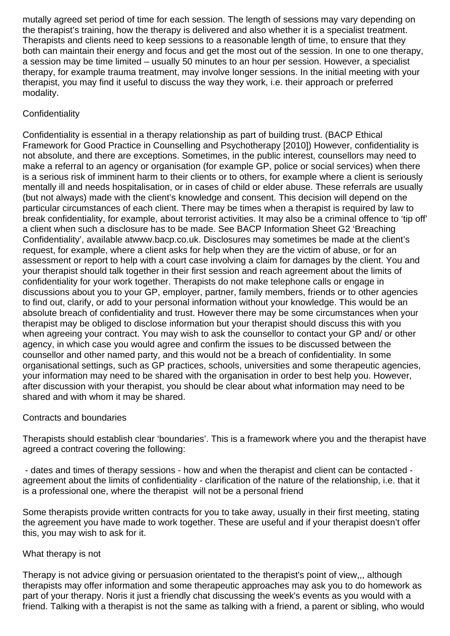mutally agreed set period of time for each session. The length of sessions may vary depending on the therapist's training, how the therapy is delivered and also whether it is a specialist treatment. Therapists and clients need to keep sessions to a reasonable length of time, to ensure that they both can maintain their energy and focus and get the most out of the session. In one to one therapy, a session may be time limited – usually 50 minutes to an hour per session. However, a specialist therapy, for example trauma treatment, may involve longer sessions. In the initial meeting with your therapist, you may find it useful to discuss the way they work, i.e. their approach or preferred modality.

# **Confidentiality**

Confidentiality is essential in a therapy relationship as part of building trust. (BACP Ethical Framework for Good Practice in Counselling and Psychotherapy [2010]) However, confidentiality is not absolute, and there are exceptions. Sometimes, in the public interest, counsellors may need to make a referral to an agency or organisation (for example GP, police or social services) when there is a serious risk of imminent harm to their clients or to others, for example where a client is seriously mentally ill and needs hospitalisation, or in cases of child or elder abuse. These referrals are usually (but not always) made with the client's knowledge and consent. This decision will depend on the particular circumstances of each client. There may be times when a therapist is required by law to break confidentiality, for example, about terrorist activities. It may also be a criminal offence to 'tip off' a client when such a disclosure has to be made. See BACP Information Sheet G2 'Breaching Confidentiality', available atwww.bacp.co.uk. Disclosures may sometimes be made at the client's request, for example, where a client asks for help when they are the victim of abuse, or for an assessment or report to help with a court case involving a claim for damages by the client. You and your therapist should talk together in their first session and reach agreement about the limits of confidentiality for your work together. Therapists do not make telephone calls or engage in discussions about you to your GP, employer, partner, family members, friends or to other agencies to find out, clarify, or add to your personal information without your knowledge. This would be an absolute breach of confidentiality and trust. However there may be some circumstances when your therapist may be obliged to disclose information but your therapist should discuss this with you when agreeing your contract. You may wish to ask the counsellor to contact your GP and/ or other agency, in which case you would agree and confirm the issues to be discussed between the counsellor and other named party, and this would not be a breach of confidentiality. In some organisational settings, such as GP practices, schools, universities and some therapeutic agencies, your information may need to be shared with the organisation in order to best help you. However, after discussion with your therapist, you should be clear about what information may need to be shared and with whom it may be shared.

#### Contracts and boundaries

Therapists should establish clear 'boundaries'. This is a framework where you and the therapist have agreed a contract covering the following:

- dates and times of therapy sessions - how and when the therapist and client can be contacted agreement about the limits of confidentiality - clarification of the nature of the relationship, i.e. that it is a professional one, where the therapist will not be a personal friend

Some therapists provide written contracts for you to take away, usually in their first meeting, stating the agreement you have made to work together. These are useful and if your therapist doesn't offer this, you may wish to ask for it.

#### What therapy is not

Therapy is not advice giving or persuasion orientated to the therapist's point of view,,, although therapists may offer information and some therapeutic approaches may ask you to do homework as part of your therapy. Noris it just a friendly chat discussing the week's events as you would with a friend. Talking with a therapist is not the same as talking with a friend, a parent or sibling, who would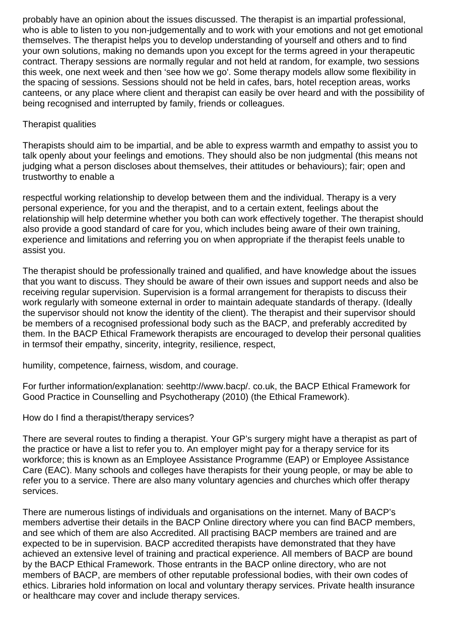probably have an opinion about the issues discussed. The therapist is an impartial professional, who is able to listen to you non-judgementally and to work with your emotions and not get emotional themselves. The therapist helps you to develop understanding of yourself and others and to find your own solutions, making no demands upon you except for the terms agreed in your therapeutic contract. Therapy sessions are normally regular and not held at random, for example, two sessions this week, one next week and then 'see how we go'. Some therapy models allow some flexibility in the spacing of sessions. Sessions should not be held in cafes, bars, hotel reception areas, works canteens, or any place where client and therapist can easily be over heard and with the possibility of being recognised and interrupted by family, friends or colleagues.

## Therapist qualities

Therapists should aim to be impartial, and be able to express warmth and empathy to assist you to talk openly about your feelings and emotions. They should also be non judgmental (this means not judging what a person discloses about themselves, their attitudes or behaviours); fair; open and trustworthy to enable a

respectful working relationship to develop between them and the individual. Therapy is a very personal experience, for you and the therapist, and to a certain extent, feelings about the relationship will help determine whether you both can work effectively together. The therapist should also provide a good standard of care for you, which includes being aware of their own training, experience and limitations and referring you on when appropriate if the therapist feels unable to assist you.

The therapist should be professionally trained and qualified, and have knowledge about the issues that you want to discuss. They should be aware of their own issues and support needs and also be receiving regular supervision. Supervision is a formal arrangement for therapists to discuss their work regularly with someone external in order to maintain adequate standards of therapy. (Ideally the supervisor should not know the identity of the client). The therapist and their supervisor should be members of a recognised professional body such as the BACP, and preferably accredited by them. In the BACP Ethical Framework therapists are encouraged to develop their personal qualities in termsof their empathy, sincerity, integrity, resilience, respect,

humility, competence, fairness, wisdom, and courage.

For further information/explanation: seehttp://www.bacp/. co.uk, the BACP Ethical Framework for Good Practice in Counselling and Psychotherapy (2010) (the Ethical Framework).

How do I find a therapist/therapy services?

There are several routes to finding a therapist. Your GP's surgery might have a therapist as part of the practice or have a list to refer you to. An employer might pay for a therapy service for its workforce; this is known as an Employee Assistance Programme (EAP) or Employee Assistance Care (EAC). Many schools and colleges have therapists for their young people, or may be able to refer you to a service. There are also many voluntary agencies and churches which offer therapy services.

There are numerous listings of individuals and organisations on the internet. Many of BACP's members advertise their details in the BACP Online directory where you can find BACP members, and see which of them are also Accredited. All practising BACP members are trained and are expected to be in supervision. BACP accredited therapists have demonstrated that they have achieved an extensive level of training and practical experience. All members of BACP are bound by the BACP Ethical Framework. Those entrants in the BACP online directory, who are not members of BACP, are members of other reputable professional bodies, with their own codes of ethics. Libraries hold information on local and voluntary therapy services. Private health insurance or healthcare may cover and include therapy services.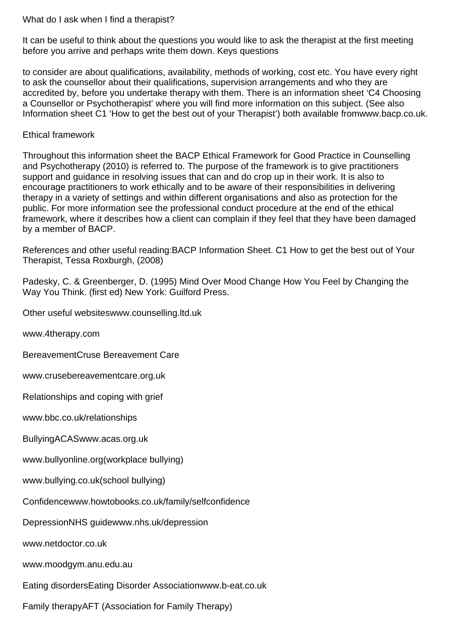#### What do I ask when I find a therapist?

It can be useful to think about the questions you would like to ask the therapist at the first meeting before you arrive and perhaps write them down. Keys questions

to consider are about qualifications, availability, methods of working, cost etc. You have every right to ask the counsellor about their qualifications, supervision arrangements and who they are accredited by, before you undertake therapy with them. There is an information sheet 'C4 Choosing a Counsellor or Psychotherapist' where you will find more information on this subject. (See also Information sheet C1 'How to get the best out of your Therapist') both available fromwww.bacp.co.uk.

#### Ethical framework

Throughout this information sheet the BACP Ethical Framework for Good Practice in Counselling and Psychotherapy (2010) is referred to. The purpose of the framework is to give practitioners support and guidance in resolving issues that can and do crop up in their work. It is also to encourage practitioners to work ethically and to be aware of their responsibilities in delivering therapy in a variety of settings and within different organisations and also as protection for the public. For more information see the professional conduct procedure at the end of the ethical framework, where it describes how a client can complain if they feel that they have been damaged by a member of BACP.

References and other useful reading:BACP Information Sheet. C1 How to get the best out of Your Therapist, Tessa Roxburgh, (2008)

Padesky, C. & Greenberger, D. (1995) Mind Over Mood Change How You Feel by Changing the Way You Think. (first ed) New York: Guilford Press.

Other useful websiteswww.counselling.ltd.uk

www.4therapy.com

BereavementCruse Bereavement Care

www.crusebereavementcare.org.uk

Relationships and coping with grief

www.bbc.co.uk/relationships

BullyingACASwww.acas.org.uk

www.bullyonline.org(workplace bullying)

www.bullying.co.uk(school bullying)

Confidencewww.howtobooks.co.uk/family/selfconfidence

DepressionNHS guidewww.nhs.uk/depression

www.netdoctor.co.uk

www.moodgym.anu.edu.au

Eating disordersEating Disorder Associationwww.b-eat.co.uk

Family therapyAFT (Association for Family Therapy)